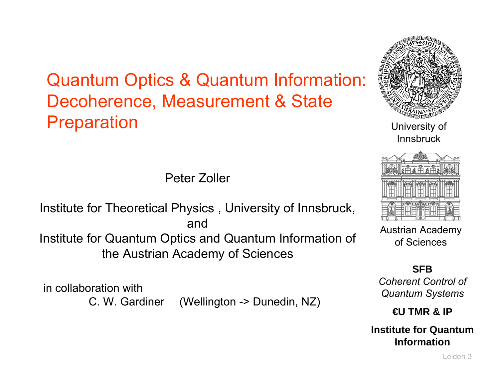Quantum Optics & Quantum Information: Decoherence, Measurement & State **Preparation** 



University of Innsbruck

Peter Zoller

Institute for Theoretical Physics , University of Innsbruck, andInstitute for Quantum Optics and Quantum Information of the Austrian Academy of Sciences

in collaboration with

C. W. Gardiner (Wellington -> Dunedin, NZ)



Austrian Academy of Sciences

#### **SFB**

*Coherent Control of Quantum Systems*

**€U TMR & IP**

**Institute for Quantum Information**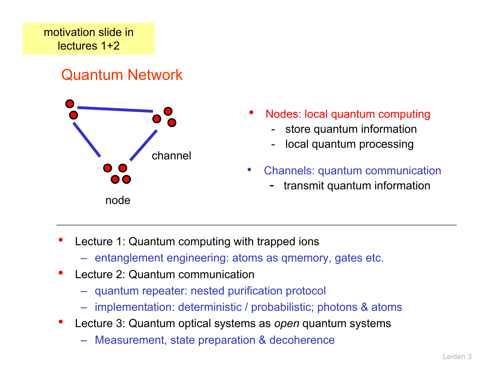### Quantum Network



- • Nodes: local quantum computing
	- store quantum information
	- local quantum processing
- • Channels: quantum communication
	- transmit quantum information

- • Lecture 1: Quantum computing with trapped ions
	- entanglement engineering: atoms as qmemory, gates etc.
- • Lecture 2: Quantum communication
	- quantum repeater: nested purification protocol
	- implementation: deterministic / probabilistic; photons & atoms
- • Lecture 3: Quantum optical systems as *open* quantum systems
	- Measurement, state preparation & decoherence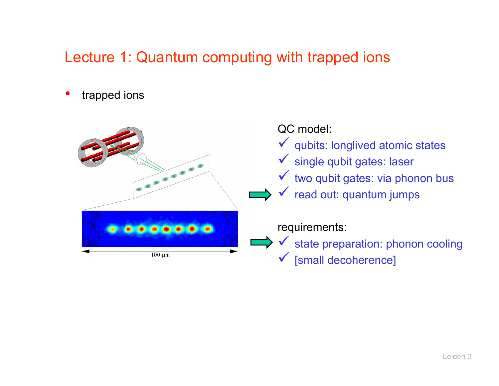# Lecture 1: Quantum computing with trapped ions

•trapped ions

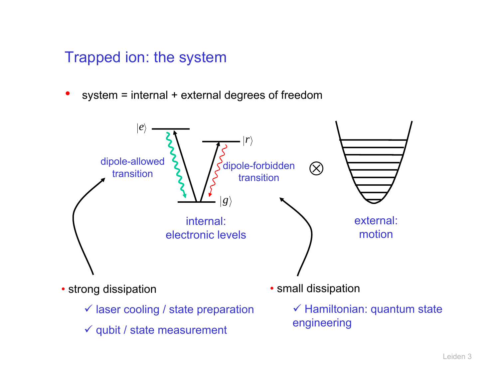#### Trapped ion: the system

• $system = internal + external degrees of freedom$ 



 $\checkmark$  qubit / state measurement

 $\checkmark$  Hamiltonian: quantum state engineering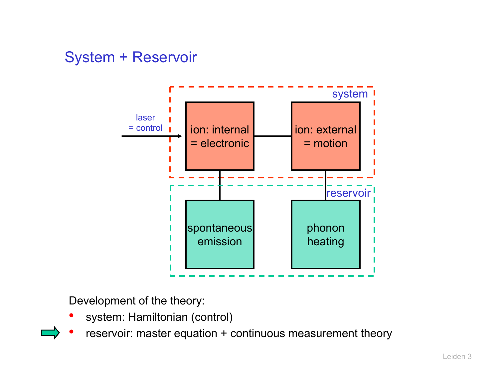#### System + Reservoir



Development of the theory:

- •system: Hamiltonian (control)
- •reservoir: master equation + continuous measurement theory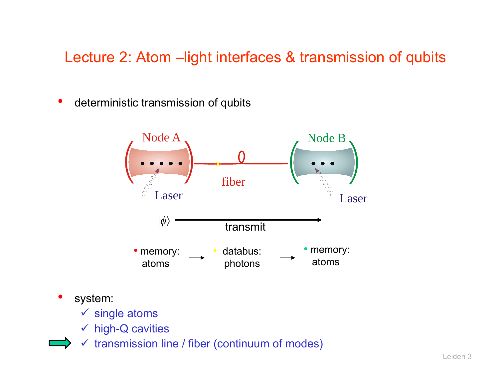## Lecture 2: Atom - light interfaces & transmission of qubits

•deterministic transmission of qubits



- • system:
	- $\checkmark$  single atoms
	- $\checkmark$  high-Q cavities
	- $\checkmark$  transmission line / fiber (continuum of modes)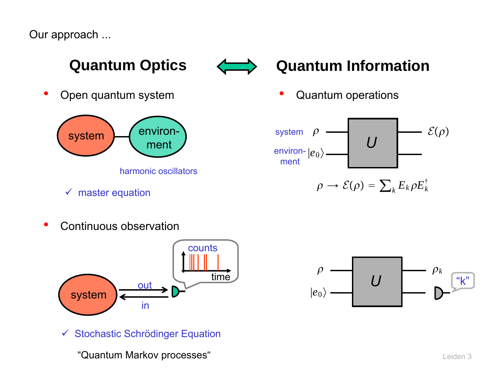Our approach ...



•Open quantum system





•Quantum operations



$$
\checkmark \quad \text{master equation} \qquad \qquad \rho \to \mathcal{E}(\rho) = \sum_k E_k \rho E_k^{\dagger}
$$

•Continuous observation



 $\checkmark$  Stochastic Schrödinger Equation

"Quantum Markov processes"

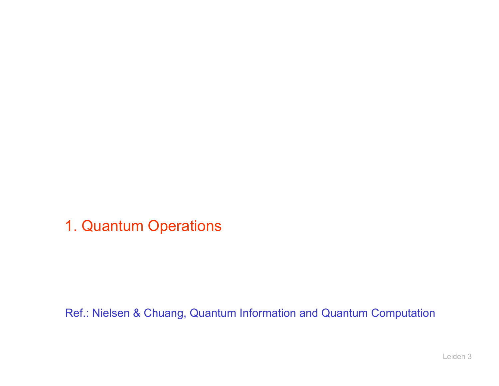1. Quantum Operations

Ref.: Nielsen & Chuang, Quantum Information and Quantum Computation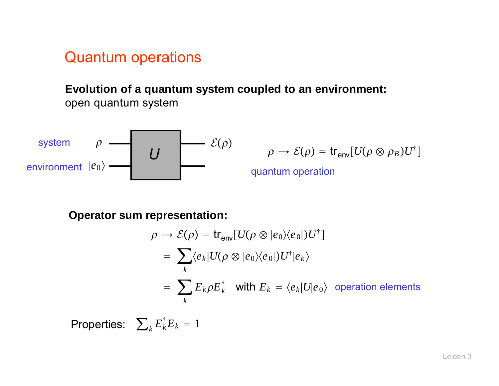#### Quantum operations

**Evolution of <sup>a</sup> quantum system coupled to an environment:** open quantum system

system 
$$
\rho
$$
  $\longrightarrow$   $\mathcal{E}(\rho)$   $\rho \to \mathcal{E}(\rho) = tr_{env}[U(\rho \otimes \rho_B)U^{\dagger}]$   
environment  $|e_0\rangle$   $\longrightarrow$   $U$   $\longrightarrow$   $\rho \to \mathcal{E}(\rho) = tr_{env}[U(\rho \otimes \rho_B)U^{\dagger}]$ 

**Operator sum representation:**

$$
\rho \to \mathcal{E}(\rho) = \text{tr}_{env}[U(\rho \otimes |e_0\rangle\langle e_0|)U^{\dagger}]
$$
  
= 
$$
\sum_{k} \langle e_k | U(\rho \otimes |e_0\rangle\langle e_0|)U^{\dagger} |e_k\rangle
$$
  
= 
$$
\sum_{k} E_k \rho E_k^{\dagger} \text{ with } E_k = \langle e_k | U | e_0 \rangle \text{ operation elements}
$$

 $\textsf{Properties:}\quad \sum_k E_k^\dagger E_k = 1$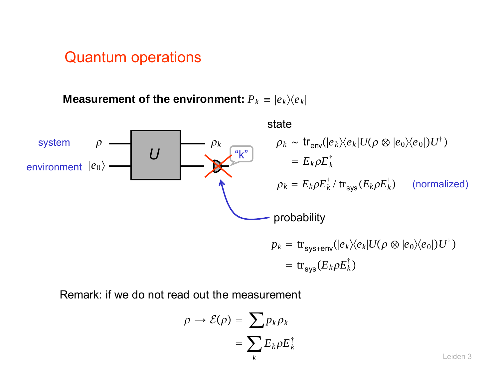#### Quantum operations

 $\bm{\mathsf{Me}a}$ surement of the environment:  ${{P}_{k}}$   $\equiv |{{e}_{k}}\rangle \langle {{e}_{k}}|$ 



Remark: if we do not read out the measurement

$$
\rho \to \mathcal{E}(\rho) = \sum_k p_k \rho_k
$$
  
= 
$$
\sum_k E_k \rho E_k^{\dagger}
$$
 Leiden 3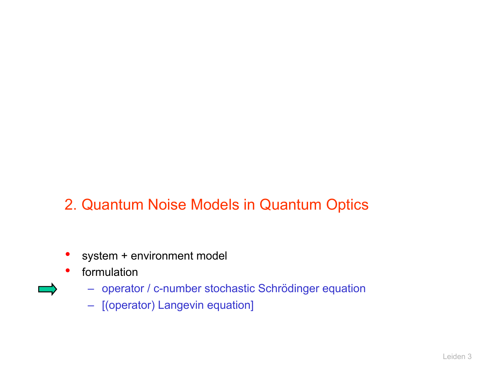## 2. Quantum Noise Models in Quantum Optics

- system + environment model
- $\bullet$  formulation
	- operator / c-number stochastic Schrödinger equation
	- [(operator) Langevin equation]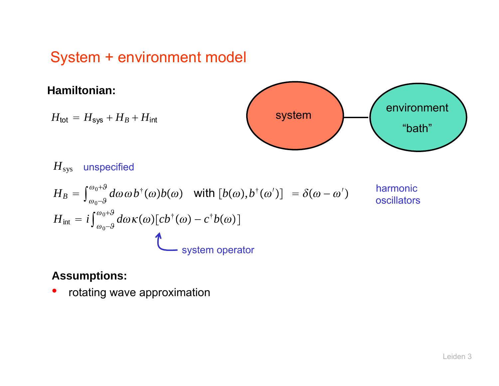#### System + environment model



**Assumptions:**

•rotating wave approximation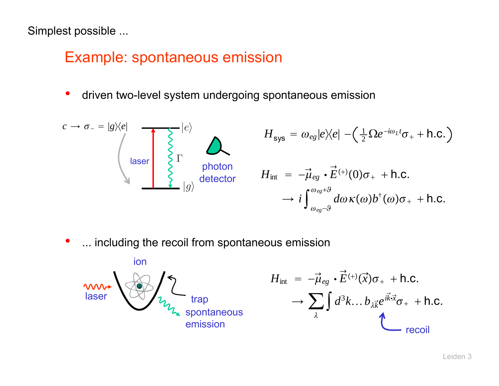Simplest possible ...

#### Example: spontaneous emission

 $\bullet$ driven two-level system undergoing spontaneous emission

$$
c \to \sigma_{-} = |g\rangle\langle e|
$$
\n
$$
H_{\text{sys}} = \omega_{eg} |e\rangle\langle e| - (\frac{1}{2} \Omega e^{-i\omega_{L}t} \sigma_{+} + \text{h.c.})
$$
\n
$$
H_{\text{loss}} = \omega_{eg} |e\rangle\langle e| - (\frac{1}{2} \Omega e^{-i\omega_{L}t} \sigma_{+} + \text{h.c.})
$$
\n
$$
H_{\text{inst}} = -\vec{\mu}_{eg} \cdot \vec{E}^{(+)}(0) \sigma_{+} + \text{h.c.}
$$
\n
$$
\to i \int_{\omega_{eg} \to 0}^{\omega_{eg} \to 0} d\omega \kappa(\omega) b^{\dagger}(\omega) \sigma_{+} + \text{h.c.}
$$

 $\bullet$ ... including the recoil from spontaneous emission



$$
H_{int} = -\vec{\mu}_{eg} \cdot \vec{E}^{(+)}(\vec{x}) \sigma_{+} + \text{h.c.}
$$

$$
\rightarrow \sum_{\lambda} \int d^{3}k ... b_{\lambda} \vec{k} e^{i\vec{k}\cdot\vec{x}} \sigma_{+} + \text{h.c.}
$$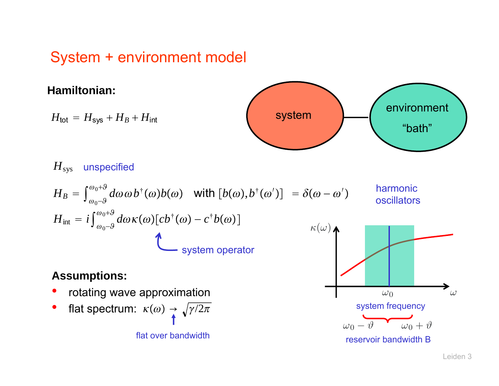## System + environment model

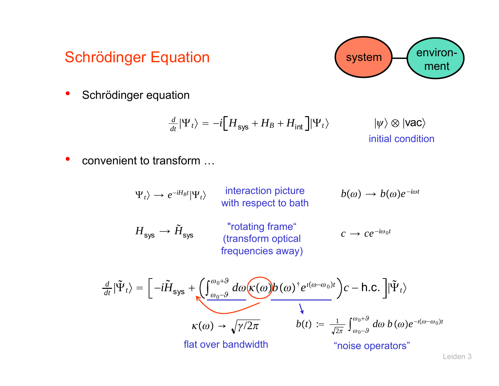## Schrödinger Equation

•Schrödinger equation

$$
\frac{d}{dt}|\Psi_t\rangle = -i[H_{\text{sys}} + H_B + H_{\text{int}}]|\Psi_t\rangle \qquad |\psi\rangle \otimes |\text{vac}\rangle
$$
\ninitial condition

•convenient to transform …

> $\frac{d}{dt}|\tilde{\Psi}|$  $\left\vert \tilde{\Psi}_{t}\right\rangle =\big\vert -i\tilde{H}% \Vert _{F}^{(2)}\left\vert \varphi_{t}\right\rangle \left\vert \varphi_{t}\right\rangle$  $\int_{\cos s} + \left( \int_{\omega_0 - \theta}^{\omega_0 + \theta} d\omega \left( \kappa(\omega) b(\omega)^{\dagger} e^{i(\omega - \omega_0)t} \right) c - \text{h.c.} \right] \vert \tilde{\Psi}_t \rangle$ interaction picture with respect to bath  $\langle \Psi_t \rangle \rightarrow e^{-iH_Bt} |\Psi_t \rangle$  **interaction picture**  $b(\omega) \rightarrow b(\omega)e^{-i\omega t}$  $H_{\mathsf{sys}} \to \tilde{H}$  sys "rotating frame" (transform optical frequencies away)  $c \rightarrow c e^{-i\omega_0 t}$  $\kappa(\omega) \rightarrow \sqrt{\gamma/2\pi}$ "noise operators"  $b(t)\,\coloneqq\,\frac{1}{\sqrt{2\pi}}\int_{\omega_0-9}^{\omega_0+9} \,d\omega\; b\,(\omega)e^{-\imath(\omega-\omega_0)t}$ flat over bandwidth

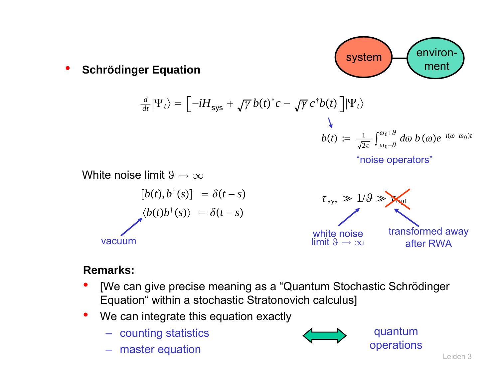

•**Schrödinger Equation**

$$
\frac{d}{dt}|\Psi_t\rangle = \left[-iH_{\text{sys}} + \sqrt{\gamma} b(t)^{\dagger} c - \sqrt{\gamma} c^{\dagger} b(t)\right] |\Psi_t\rangle
$$
\n
$$
b(t) := \frac{1}{\sqrt{2\pi}} \int_{\omega_0 - \vartheta}^{\omega_0 + \vartheta} d\omega b(\omega) e^{-i(\omega - \omega_0)t}
$$
\n"noise operators"

 $\tau_{sys} \gg 1/9 \gg p$ White noise limit  $9 \to \infty$  $[b(t), b^{\dagger}(s)] = \delta(t - s)$  $\langle b(t)b^{\dagger}(s) \rangle = \delta(t-s)$ white noise limit  $9 \rightarrow \infty$ transformed away after RWAvacuum

#### **Remarks:**

- $\bullet$  [We can give precise meaning as a "Quantum Stochastic Schrödinger Equation" within a stochastic Stratonovich calculus]
- •We can integrate this equation exactly
	- counting statistics
	- master equation



quantum operations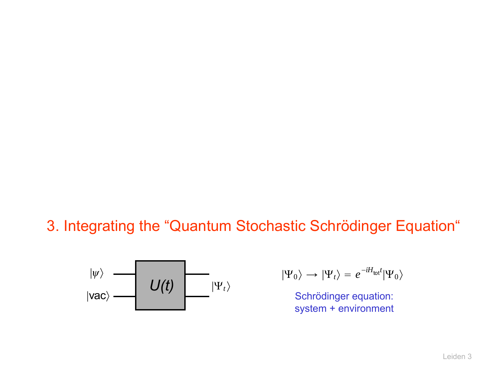#### 3. Integrating the "Quantum Stochastic Schrödinger Equation"



$$
|\Psi_0\rangle \rightarrow |\Psi_t\rangle = e^{-iH_{\text{tot}}t}|\Psi_0\rangle
$$

Schrödinger equation: system + environment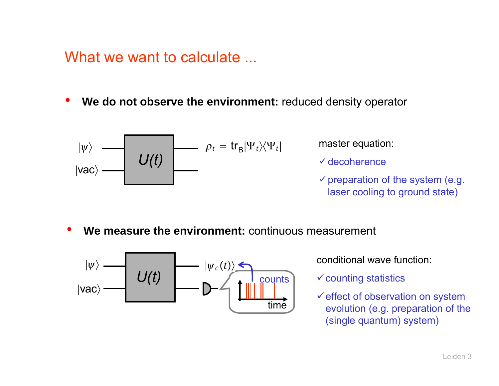What we want to calculate ...

•**We do not observe the environment:** reduced density operator

$$
|\psi\rangle
$$
  
 
$$
|\psi\rangle
$$
  
 
$$
U(t)
$$
  $\rho_t = tr_B|\Psi_t\rangle\langle\Psi_t|$ 

master equation:

 $\checkmark$  decoherence

- $\checkmark$  preparation of the system (e.g. laser cooling to ground state)
- •**We measure the environment:** continuous measurement



*<sup>t</sup>* conditional wave function:

 $\checkmark$  counting statistics

 $\checkmark$  effect of observation on system evolution (e.g. preparation of the (single quantum) system)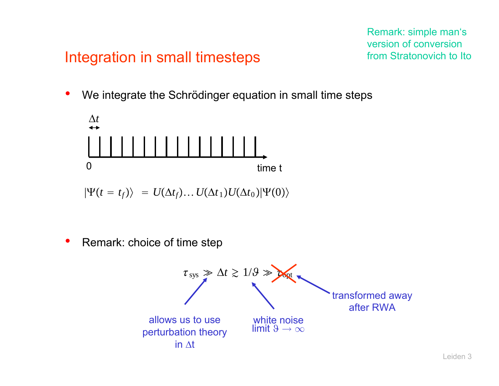#### Remark: simple man's version of conversion from Stratonovich to Ito

#### Integration in small timesteps

•We integrate the Schrödinger equation in small time steps



 $\ket{\Psi(t=t_f)} \ = \ U(\Delta t_f) \ldots U(\Delta t_1) U(\Delta t_0) \ket{\Psi(0)}$ 

 $\bullet$ Remark: choice of time step

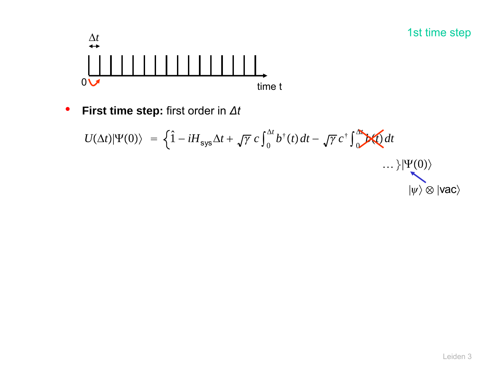

 $\bullet$ **First time step:** first order in *Δt*

$$
U(\Delta t)|\Psi(0)\rangle = \left\{\hat{1} - iH_{\text{sys}}\Delta t + \sqrt{\gamma} c \int_0^{\Delta t} b^{\dagger}(t) dt - \sqrt{\gamma} c^{\dagger} \int_0^{\Delta t} \mathbf{V}(t) dt - \mathbf{V}(0)\right\}
$$
  
... }\|\Psi(0)\rangle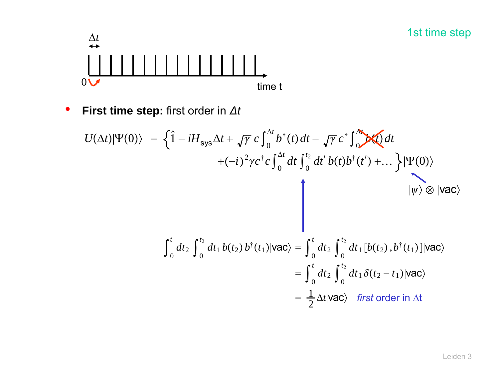

 $\bullet$ **First time step:** first order in *Δt*

$$
U(\Delta t)|\Psi(0)\rangle = \left\{\hat{1} - iH_{\text{sys}}\Delta t + \sqrt{\gamma} c \int_0^{\Delta t} b^{\dagger}(t) dt - \sqrt{\gamma} c^{\dagger} \int_0^{\Delta t} \partial t \right\}
$$
  
+  $(-i)^2 \gamma c^{\dagger} c \int_0^{\Delta t} dt \int_0^{t_2} dt' b(t) b^{\dagger}(t') + ... \} |\Psi(0)\rangle$   

$$
\left.\int_0^t dt_2 \int_0^{t_2} dt_1 b(t_2) b^{\dagger}(t_1) |\text{vac}\rangle = \int_0^t dt_2 \int_0^{t_2} dt_1 [b(t_2), b^{\dagger}(t_1)] |\text{vac}\rangle
$$
  
=  $\int_0^t dt_2 \int_0^{t_2} dt_1 \delta(t_2 - t_1) |\text{vac}\rangle$   
=  $\frac{1}{2} \Delta t |\text{vac}\rangle$  first order in  $\Delta t$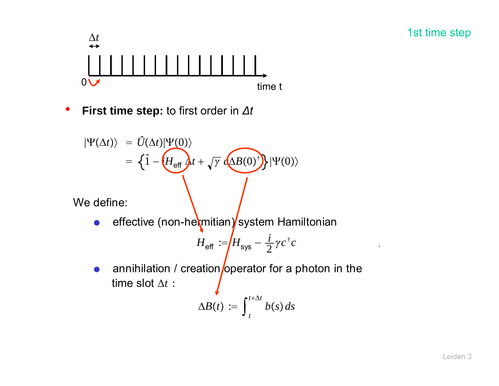

•**First time step:** to first order in *Δt*

$$
|\Psi(\Delta t)\rangle = \hat{U}(\Delta t)|\Psi(0)\rangle
$$
  
=  $\left\{\hat{1} - \left(H_{\text{eff}}\right)t + \sqrt{\gamma} \left(\Delta B(0)^{\dagger}\right)\right\}|\Psi(0)\rangle$ 

We define:

 $\bullet$ effective (non-hermitian) system Hamiltonian

$$
H_{\text{eff}} := H_{\text{sys}} - \frac{i}{2} \gamma c^{\dagger} c
$$

 $\bullet$ annihilation / creation operator for a photon in the time slot Δ*t* :

$$
\Delta B(t) := \int_{t}^{t+\Delta t} b(s) ds
$$

 $\mathbf{b}$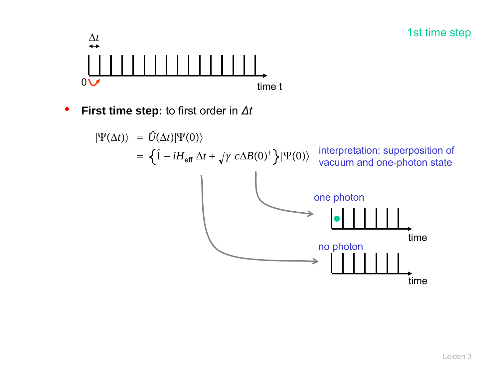

•**First time step:** to first order in *Δt*

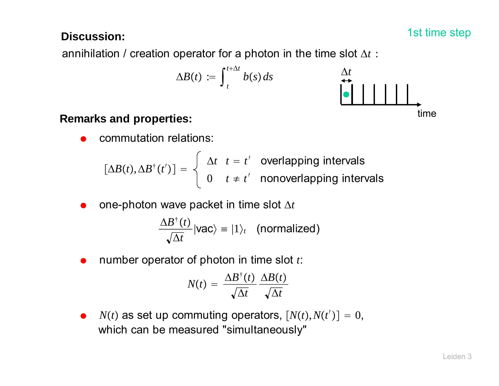#### **Discussion:**  $\qquad \qquad$  1st time step  $\qquad \qquad$  1st time step

annihilation / creation operator for a photon in the time slot  $\Delta t$  :

$$
\Delta B(t) := \int_{t}^{t+\Delta t} b(s) \, ds
$$



#### **Remarks and properties:**

 $\bullet$ commutation relations:

$$
[\Delta B(t), \Delta B^{\dagger}(t')] = \begin{cases} \Delta t & t = t' \text{ overlapping intervals} \\ 0 & t \neq t' \text{ nonoverlapping intervals} \end{cases}
$$

 $\bullet$  $\bullet$  one-photon wave packet in time slot  $\Delta t$ 

> $\Delta B^\dagger(t)$  $\langle \frac{\Delta t}{\Delta t} | \text{vac} \rangle = |1\rangle_t$  (normalized)

0 number operator of photon in time slot *t*:

$$
N(t) = \frac{\Delta B^{\dagger}(t)}{\sqrt{\Delta t}} \frac{\Delta B(t)}{\sqrt{\Delta t}}
$$

 $\bullet$  $N(t)$  as set up commuting operators,  $[N(t), N(t')] = 0$ , which can be measured "simultaneously"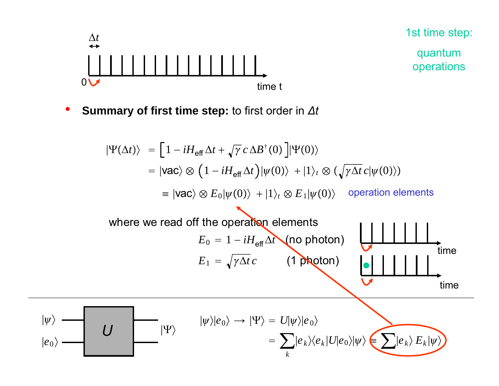

 $|\psi\rangle$ 

quantum operations

 $\bullet$ **Summary of first time step:** to first order in *Δt*

$$
|\Psi(\Delta t)\rangle = [1 - iH_{\text{eff}}\Delta t + \sqrt{\gamma} c \Delta B^{\dagger}(0)]|\Psi(0)\rangle
$$
  
\n
$$
= |\text{vac}\rangle \otimes (1 - iH_{\text{eff}}\Delta t)|\psi(0)\rangle + |1\rangle_t \otimes (\sqrt{\gamma\Delta t} c|\psi(0)\rangle)
$$
  
\n
$$
= |\text{vac}\rangle \otimes E_0|\psi(0)\rangle + |1\rangle_t \otimes E_1|\psi(0)\rangle \text{ operation elements}
$$
  
\nwhere we read off the operation elements  
\n
$$
E_0 = 1 - iH_{\text{eff}}\Delta t \text{ (no photon)}
$$
  
\n
$$
E_1 = \sqrt{\gamma\Delta t} c \text{ (1 photon)}
$$
  
\ntime time  
\ntime time  
\ntime  
\n
$$
|\psi\rangle
$$
  
\n
$$
|\psi\rangle|e_0\rangle \rightarrow |\Psi\rangle = U|\psi\rangle|e_0\rangle
$$
  
\n
$$
= \sum_{k} |e_k\rangle\langle e_k|U|e_0\rangle|\psi\rangle \text{ (where}
$$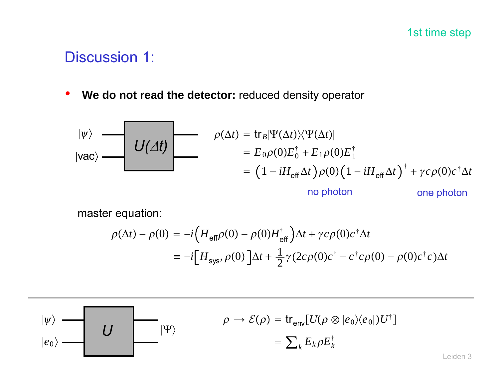1st time step

#### Discussion 1:

•**We do not read the detector:** reduced density operator

$$
|\psi\rangle
$$
\n
$$
|\text{vac}\rangle
$$
\n
$$
|VAC\rangle
$$
\n
$$
= \left(1 - iH_{\text{eff}}\Delta t\right)\rho(0)\left(1 - iH_{\text{eff}}\Delta t\right)^{\dagger} + \gamma c\rho(0)c^{\dagger}\Delta t
$$
\n
$$
= \left(1 - iH_{\text{eff}}\Delta t\right)\rho(0)\left(1 - iH_{\text{eff}}\Delta t\right)^{\dagger} + \gamma c\rho(0)c^{\dagger}\Delta t
$$
\nno photon

\none photon

master equation:

$$
\rho(\Delta t) - \rho(0) = -i \Big( H_{\text{eff}} \rho(0) - \rho(0) H_{\text{eff}}^{\dagger} \Big) \Delta t + \gamma c \rho(0) c^{\dagger} \Delta t
$$
  

$$
\equiv -i \Big[ H_{\text{sys}}, \rho(0) \Big] \Delta t + \frac{1}{2} \gamma (2c \rho(0) c^{\dagger} - c^{\dagger} c \rho(0) - \rho(0) c^{\dagger} c) \Delta t
$$

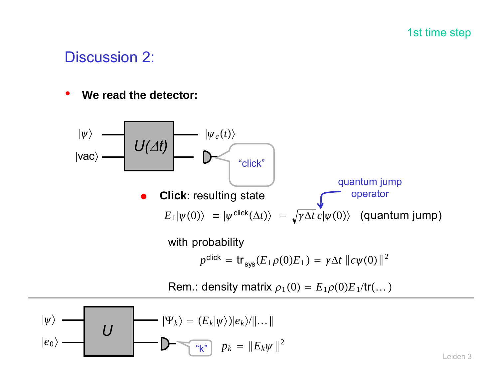1st time step

#### Discussion 2:

 $\bullet$ **We read the detector:**

$$
|\psi\rangle
$$
  
\n
$$
|vac\rangle
$$
  
\n
$$
U(\Delta t)
$$
  
\n
$$
\downarrow \text{click:}
$$
  
\n
$$
E_1|\psi(0)\rangle = |\psi^{\text{click}}(\Delta t)\rangle = \sqrt{\gamma \Delta t} \, c|\psi(0)\rangle \quad \text{(quantum jump)}
$$

with probability

$$
p^{\text{click}} = \text{tr}_{\text{sys}}(E_1 \rho(0) E_1) = \gamma \Delta t \, ||c\psi(0)||^2
$$

Rem.: density matrix  $\rho_1(0) = E_1 \rho(0) E_1/\text{tr}(\dots)$ 

$$
|\psi\rangle
$$
  
\n
$$
|e_0\rangle
$$
  
\n
$$
|W_k\rangle = (E_k|\psi\rangle)|e_k\rangle/||...||
$$
  
\n
$$
|e_0\rangle
$$
  
\n
$$
|W_k\rangle = (E_k|\psi\rangle)|e_k\rangle/||...||
$$
  
\n
$$
|e_0\rangle = ||E_k\psi||^2
$$

Leiden 3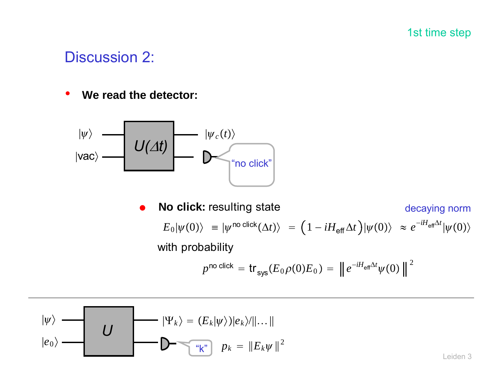1st time step

#### Discussion 2:

•**We read the detector:**



 $\bullet$  **No click:** resulting state  $E_0 |\psi(0)\rangle\,\,\, \equiv |\psi^{\,\textsf{no\,\,click}}(\Delta t)\rangle\,\,\, = \, \big(\,1 - i H_{\textsf{eff}}\Delta t\,\big) |\psi(0)\rangle\,\,\, \approx \, e^{-i H_{\textsf{eff}}\Delta t} |\psi(0)\rangle$ with probability decaying norm

$$
p^{\textsf{no click}} = \textsf{tr}_{\textsf{sys}}(E_0\rho(0)E_0) = \left\| e^{-iH_{\textsf{eff}}\Delta t} \psi(0) \right\|^2
$$

$$
|\psi\rangle
$$
  
\n
$$
|e_0\rangle
$$
  
\n
$$
|W_k\rangle = (E_k|\psi\rangle)|e_k\rangle/||...||
$$
  
\n
$$
e_0\rangle
$$
  
\n
$$
|e_0\rangle
$$
  
\n
$$
|e_0\rangle
$$
  
\n
$$
e_0
$$
  
\n
$$
e_0
$$
  
\n
$$
|e_0\rangle
$$
  
\n
$$
e_0
$$
  
\n
$$
e_0
$$
  
\n
$$
e_0
$$
  
\n
$$
e_0
$$
  
\n
$$
e_0
$$
  
\n
$$
e_0
$$
  
\n
$$
e_0
$$
  
\n
$$
e_0
$$
  
\n
$$
e_0
$$
  
\n
$$
e_0
$$
  
\n
$$
e_0
$$
  
\n
$$
e_0
$$
  
\n
$$
e_0
$$
  
\n
$$
e_0
$$
  
\n
$$
e_0
$$
  
\n
$$
e_0
$$
  
\n
$$
e_0
$$
  
\n
$$
e_0
$$
  
\n
$$
e_0
$$
  
\n
$$
e_0
$$
  
\n
$$
e_0
$$
  
\n
$$
e_0
$$
  
\n
$$
e_0
$$
  
\n
$$
e_0
$$
  
\n
$$
e_0
$$
  
\n
$$
e_0
$$
  
\n
$$
e_0
$$
  
\n
$$
e_0
$$
  
\n
$$
e_0
$$
  
\n
$$
e_0
$$
  
\n
$$
e_0
$$
  
\n
$$
e_0
$$
  
\n
$$
e_0
$$
  
\n
$$
e_0
$$
  
\n
$$
e_0
$$
  
\n
$$
e_0
$$
  
\n
$$
e_0
$$
  
\n
$$
e_0
$$
  
\n
$$
e_0
$$
  
\n
$$
e_0
$$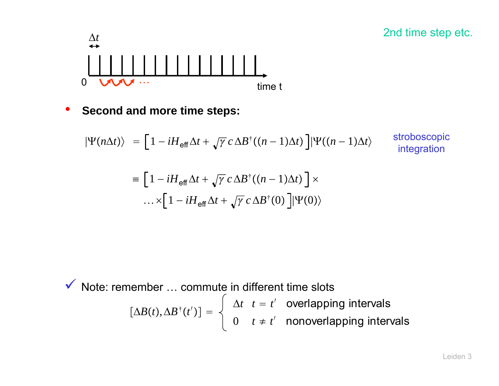

•**Second and more time steps:**

$$
|\Psi(n\Delta t)\rangle = \left[1 - iH_{\text{eff}}\Delta t + \sqrt{\gamma} c \Delta B^{\dagger}((n-1)\Delta t)\right] |\Psi((n-1)\Delta t)\rangle \quad \text{stroboscopic integration}
$$
  

$$
\equiv \left[1 - iH_{\text{eff}}\Delta t + \sqrt{\gamma} c \Delta B^{\dagger}((n-1)\Delta t)\right] \times \dots \times \left[1 - iH_{\text{eff}}\Delta t + \sqrt{\gamma} c \Delta B^{\dagger}(0)\right] |\Psi(0)\rangle
$$

 $\left[\Delta B(t),\Delta B^{\dagger}(t^{\prime})\right]=\left.\begin{cases} \begin{array}{c} \Delta t\quad t=t^{\prime}\quad \text{overlapping intervals}\ 0\quad \ t\neq\,t^{\prime}\quad \text{nonoverlapping intervals} \end{array}\right.$  $\checkmark$  Note: remember ... commute in different time slots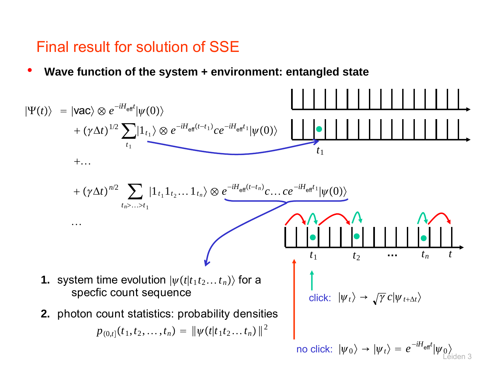#### Final result for solution of SSE

•**Wave function of the system + environment: entangled state**

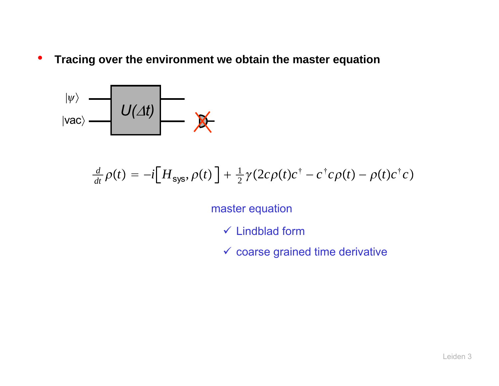•**Tracing over the environment we obtain the master equation**



$$
\frac{d}{dt}\rho(t) = -i[H_{\text{sys}}, \rho(t)] + \frac{1}{2}\gamma(2c\rho(t)c^{\dagger} - c^{\dagger}c\rho(t) - \rho(t)c^{\dagger}c)
$$

master equation

- $\checkmark$  Lindblad form
- $\checkmark$  coarse grained time derivative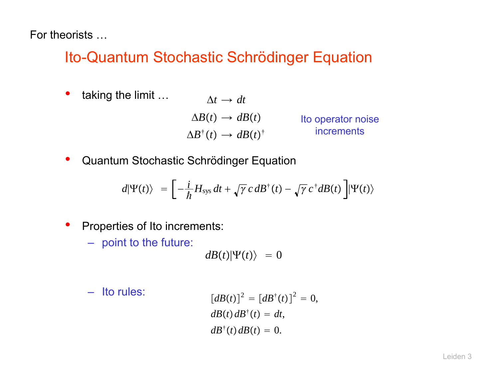For theorists …

#### Ito-Quantum Stochastic Schrödinger Equation

•taking the limit …

 $\Delta t \rightarrow dt$  $\Delta B(t) \rightarrow dB(t)$  $\Delta B^\dagger(t) \rightarrow dB(t)^\dagger$ 

Ito operator noise increments

 $\bullet$ Quantum Stochastic Schrödinger Equation

$$
d|\Psi(t)\rangle = \left[-\frac{i}{\hbar}H_{\rm sys}\,dt + \sqrt{\gamma}\,c\,dB^{\dagger}(t) - \sqrt{\gamma}\,c^{\dagger}dB(t)\,\right]|\Psi(t)\rangle
$$

- • Properties of Ito increments:
	- point to the future:

 $dB(t)|\Psi(t)\rangle = 0$ 

– Ito rules:

$$
[dB(t)]^2 = [dB^{\dagger}(t)]^2 = 0,
$$
  
\n
$$
dB(t)dB^{\dagger}(t) = dt,
$$
  
\n
$$
dB^{\dagger}(t)dB(t) = 0.
$$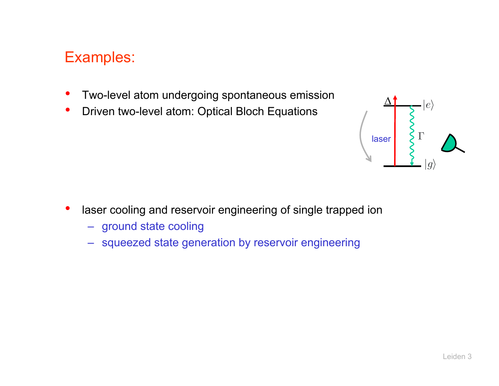#### Examples:

- •Two-level atom undergoing spontaneous emission
- $\bullet$ Driven two-level atom: Optical Bloch Equations



- • laser cooling and reservoir engineering of single trapped ion
	- ground state cooling
	- squeezed state generation by reservoir engineering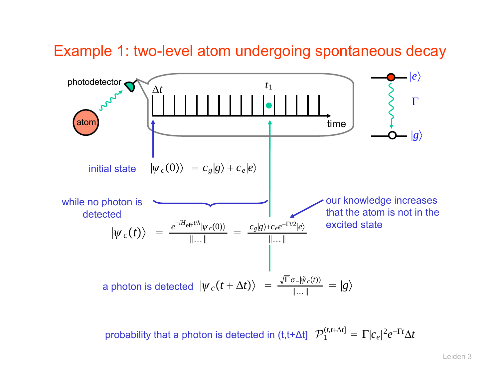#### Example 1: two-level atom undergoing spontaneous decay



probability that a photon is detected in  $(t, t+\Delta t)$   $\mathcal{P}_1^{(t,t+\Delta t)} = \Gamma |c_e|^2 e^{-\Gamma t} \Delta t$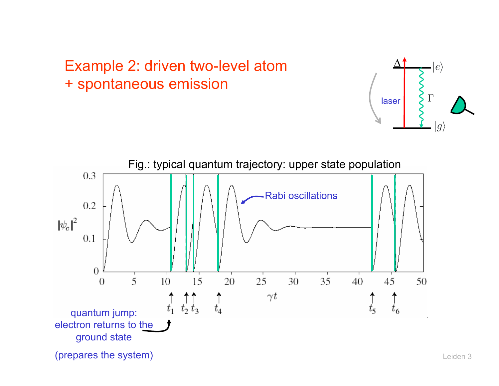## Example 2: driven two-level atom + spontaneous emission



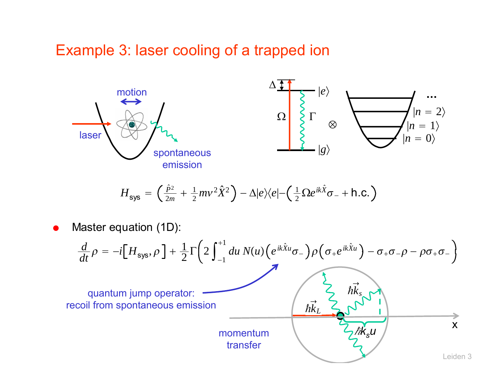#### Example 3: laser cooling of a trapped ion



$$
H_{\text{sys}} = \left(\frac{\hat{p}^2}{2m} + \frac{1}{2}mv^2\hat{X}^2\right) - \Delta|e\rangle\langle e| - \left(\frac{1}{2}\Omega e^{ik\hat{X}}\sigma_{-} + \text{h.c.}\right)
$$

0 Master equation (1D):

$$
\frac{d}{dt}\rho = -i[H_{sys}, \rho] + \frac{1}{2}\Gamma(2\int_{-1}^{+1} du \, N(u)(e^{ik\hat{x}u}\sigma_{-})\rho(\sigma_{+}e^{ik\hat{x}u}) - \sigma_{+}\sigma_{-}\rho - \rho\sigma_{+}\sigma_{-})
$$
\nquantum jump operator:  
\nrecoil from spontaneous emission  
\nmomentum  
\ntransfer  
\n
$$
h\vec{k}_{L} \sim \frac{h\vec{k}_{s}}{2}
$$
\n
$$
V
$$
\n
$$
V
$$
\n
$$
V
$$
\n
$$
V
$$
\n
$$
V
$$
\n
$$
V
$$
\n
$$
V
$$
\n
$$
V
$$
\n
$$
V
$$
\n
$$
V
$$
\n
$$
V
$$
\n
$$
V
$$
\n
$$
V
$$
\n
$$
V
$$
\n
$$
V
$$
\n
$$
V
$$
\n
$$
V
$$
\n
$$
V
$$
\n
$$
V
$$
\n
$$
V
$$
\n
$$
V
$$
\n
$$
V
$$
\n
$$
V
$$
\n
$$
V
$$
\n
$$
V
$$
\n
$$
V
$$
\n
$$
V
$$
\n
$$
V
$$
\n
$$
V
$$
\n
$$
V
$$
\n
$$
V
$$
\n
$$
V
$$
\n
$$
V
$$
\n
$$
V
$$
\n
$$
V
$$
\n
$$
V
$$
\n
$$
V
$$
\n
$$
V
$$
\n
$$
V
$$
\n
$$
V
$$
\n
$$
V
$$
\n
$$
V
$$
\n
$$
V
$$
\n
$$
V
$$
\n
$$
V
$$
\n
$$
V
$$
\n
$$
V
$$
\n
$$
V
$$
\n
$$
V
$$
\n
$$
V
$$
\n
$$
V
$$
\n
$$
V
$$
\n
$$
V
$$
\n
$$
V
$$
\n
$$
V
$$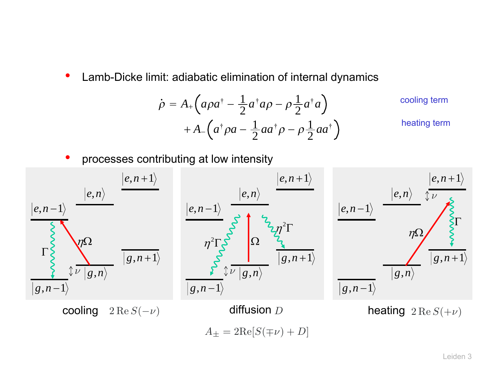•Lamb-Dicke limit: adiabatic elimination of internal dynamics

$$
\dot{\rho} = A_{+} \left( a \rho a^{\dagger} - \frac{1}{2} a^{\dagger} a \rho - \rho \frac{1}{2} a^{\dagger} a \right)
$$
cooling term  
+ 
$$
A_{-} \left( a^{\dagger} \rho a - \frac{1}{2} a a^{\dagger} \rho - \rho \frac{1}{2} a a^{\dagger} \right)
$$
heating term

•processes contributing at low intensity

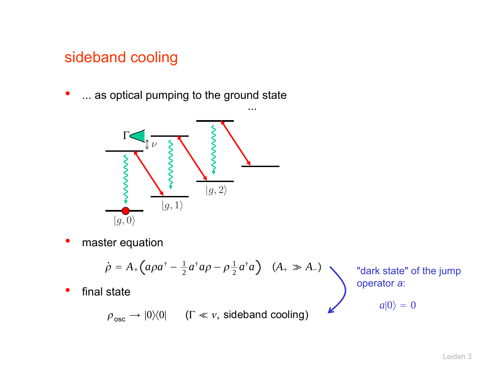#### sideband cooling

•... as optical pumping to the ground state



•master equation

$$
\dot{\rho} = A_{+}\left(a\rho a^{\dagger} - \frac{1}{2}a^{\dagger}a\rho - \rho \frac{1}{2}a^{\dagger}a\right) \quad (A_{+} \gg A_{-})
$$
 "dark s  
operator

•• final state

 $\rho_{\rm osc} \to$   $|0\rangle\!\langle 0|$   $\quad$  (Γ  $\ll$   $v,$  sideband cooling)

state" of the jump operator *<sup>a</sup>*:

$$
a|0\rangle = 0
$$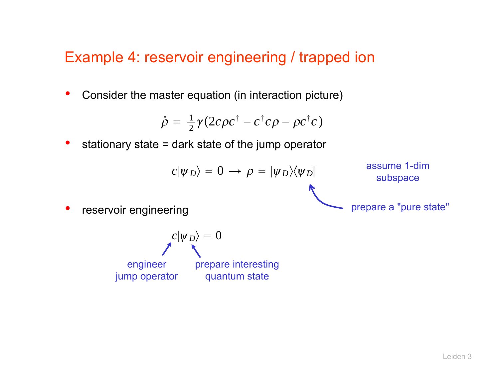#### Example 4: reservoir engineering / trapped ion

•Consider the master equation (in interaction picture)

$$
\dot{\rho} = \frac{1}{2}\gamma(2c\rho c^{\dagger} - c^{\dagger}c\rho - \rho c^{\dagger}c)
$$

•stationary state = dark state of the jump operator

$$
c|\psi_D\rangle = 0 \longrightarrow \rho = |\psi_D\rangle\langle\psi_D|
$$

ssume 1-dim subspace

prepare a "pure state"

•reservoir engineering

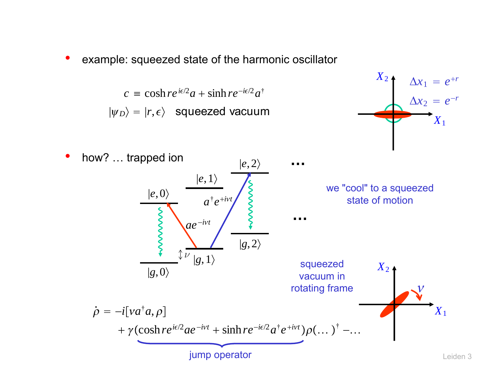•example: squeezed state of the harmonic oscillator

> $c \equiv \cosh r e^{i\epsilon/2}a + \sinh r e^{-i\epsilon/2}a^{\dagger}$  $|\psi_D\rangle = |r, \epsilon\rangle$  squeezed vacuum



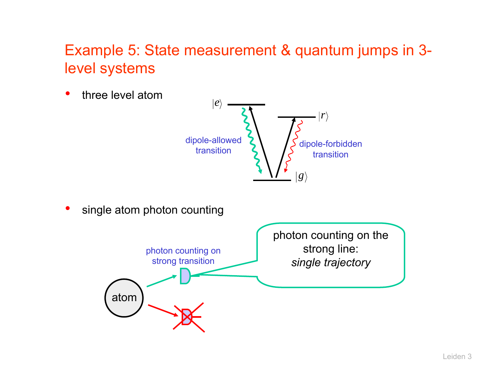#### Example 5: State measurement & quantum jumps in 3 level systems

•three level atom



•single atom photon counting

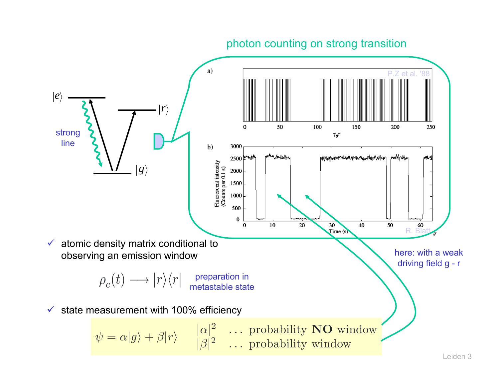#### photon counting on strong transition

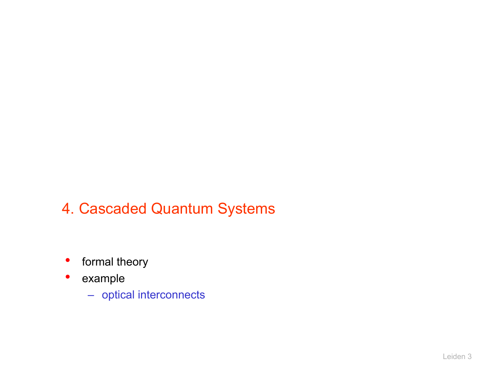## 4. Cascaded Quantum Systems

- •formal theory
- example
	- optical interconnects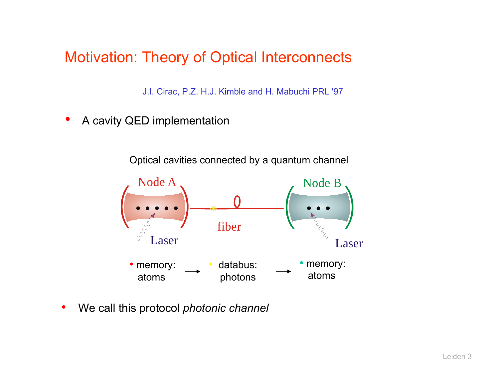Motivation: Theory of Optical Interconnects

J.I. Cirac, P.Z. H.J. Kimble and H. Mabuchi PRL '97

•A cavity QED implementation

Optical cavities connected by <sup>a</sup> quantum channel



•We call this protocol *photonic channel*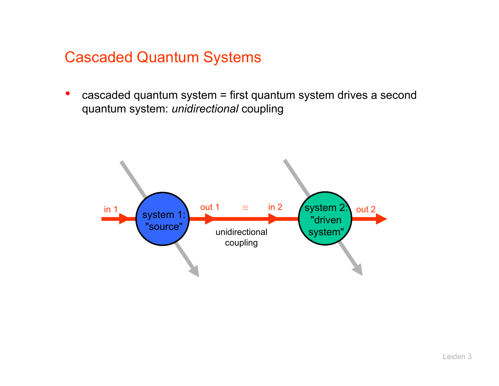#### Cascaded Quantum Systems

• cascaded quantum system = first quantum system drives a second quantum system: *unidirectional* coupling

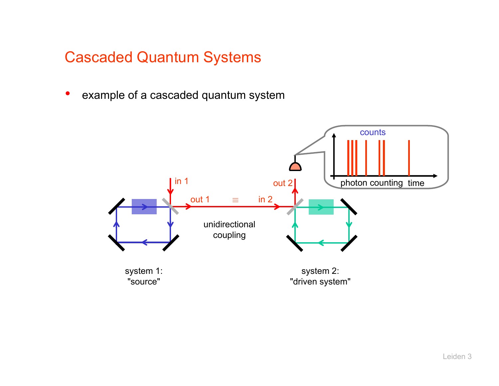## Cascaded Quantum Systems

•example of a cascaded quantum system

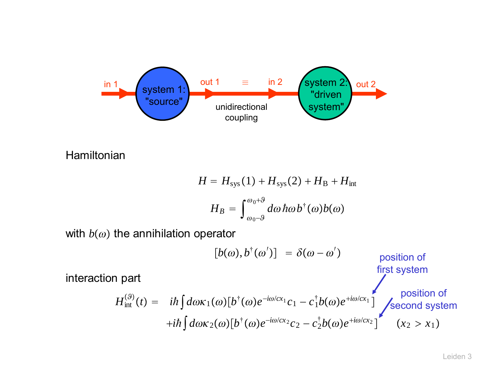

Hamiltonian

$$
H = H_{\text{sys}}(1) + H_{\text{sys}}(2) + H_{\text{B}} + H_{\text{int}}
$$

$$
H_B = \int_{\omega_0 - \vartheta}^{\omega_0 + \vartheta} d\omega \, \hbar \omega \, b^{\dagger}(\omega) b(\omega)
$$

with  $b(\omega)$  the annihilation operator

$$
[b(\omega), b^{\dagger}(\omega')] = \delta(\omega - \omega')
$$
position of  
first system  

$$
H_{int}^{(9)}(t) = i\hbar \int d\omega \kappa_1(\omega) [b^{\dagger}(\omega)e^{-i\omega/cx_1}c_1 - c_1^{\dagger}b(\omega)e^{+i\omega/cx_1}]
$$
position of  

$$
+i\hbar \int d\omega \kappa_2(\omega) [b^{\dagger}(\omega)e^{-i\omega/cx_2}c_2 - c_2^{\dagger}b(\omega)e^{+i\omega/cx_2}]
$$
 (x<sub>2</sub> > x<sub>1</sub>)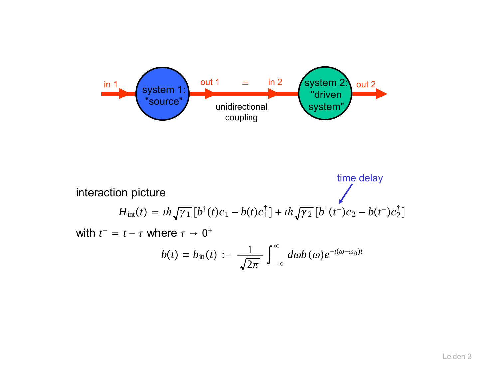

interaction picture  $H_{int}(t) = i\hbar \sqrt{\gamma_1} \left[ b^{\dagger}(t)c_1 - b(t)c_1^{\dagger} \right] + i\hbar \sqrt{\gamma_2} \left[ b^{\dagger}(t^{-})c_2 - b(t^{-})c_2^{\dagger} \right]$ with  $t^-=t-\tau$  where  $\tau\to 0^+$  $b(t) \equiv b_{\rm in}(t) := -\frac{1}{\sqrt{2}}$  $\frac{1}{2\pi}\int_{-\infty}^{\infty}d\omega b(\omega)e^{-\iota(\omega-\omega_{0})t}$ time delay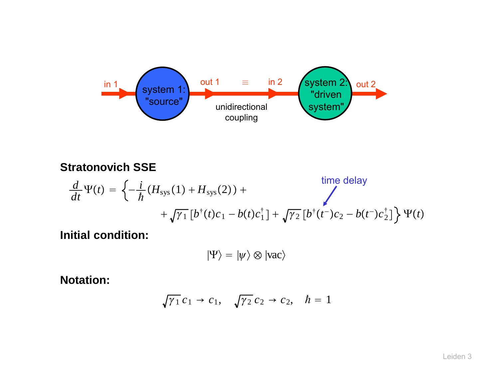

#### **Stratonovich SSE**

$$
\frac{d}{dt}\Psi(t) = \left\{-\frac{i}{\hbar}(H_{\text{sys}}(1) + H_{\text{sys}}(2)) + \sqrt{\gamma_1}\left[b^{\dagger}(t)c_1 - b(t)c_1^{\dagger}\right] + \sqrt{\gamma_2}\left[b^{\dagger}(t^{-})c_2 - b(t^{-})c_2^{\dagger}\right]\right\}\Psi(t)
$$

**Initial condition:**

$$
|\Psi\rangle = |\psi\rangle \otimes |vac\rangle
$$

**Notation:**

$$
\sqrt{\gamma_1} c_1 \rightarrow c_1, \quad \sqrt{\gamma_2} c_2 \rightarrow c_2, \quad \hbar = 1
$$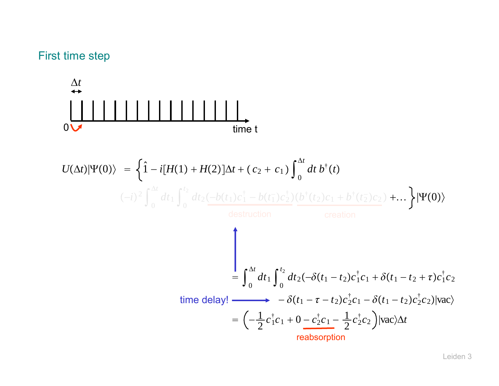#### First time step

Δ*t* 0 time t $U(\Delta t)|\Psi(0)\rangle = \frac{1}{2}\hat{1}$  − $-i[H(1) + H(2)]\Delta t + (c_2 + c_1) \int_0^{\Delta t} dt \, b^{\dagger}(t)$  $(-i)^2 \int_0^{\Delta t} dt_1 \int_0^{t_2} dt_2 \left(-b(t_1)c_1^{\dagger} - b(t_1^-)c_2^{\dagger}\right) \left(b^{\dagger}(t_2)c_1 + b^{\dagger}(t_2^-)c_2\right) + \dots$  $\, =\,$  $= \int_0^{\Delta t} dt_1 \int_0^{t_2} dt_2(-\delta(t_1-t_2)c_1^\dagger c_1 + \delta(t_1-t_2+\tau)c_1^\dagger c_2$ time delay!  $\longrightarrow \quad -\delta(t_1 - \tau - t_2) c_2^\dagger c_1 - \delta(t_1 - t_2) c_2^\dagger c_2 ) |\text{vac}\rangle$  $= \left(-\frac{1}{2}c_1^{\dagger}c_1 + 0 - c_2^{\dagger}c_1 - \frac{1}{2}c_2^{\dagger}c_2\right)$ |vac $\Delta t$ reabsorption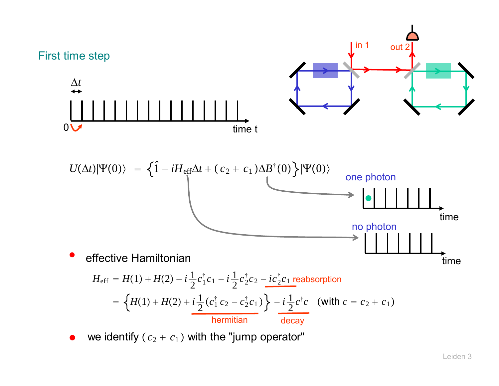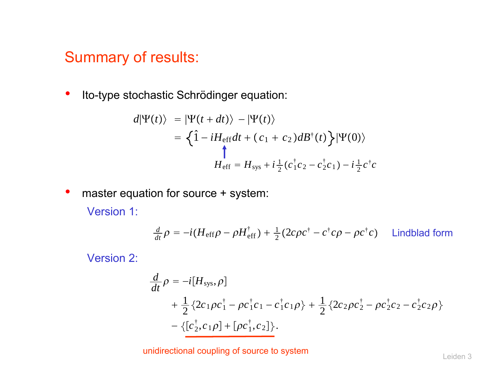#### Summary of results:

•Ito-type stochastic Schrödinger equation:

$$
d|\Psi(t)\rangle = |\Psi(t+dt)\rangle - |\Psi(t)\rangle
$$
  
=  $\left\{\hat{1} - iH_{\text{eff}}dt + (c_1 + c_2)dB^{\dagger}(t)\right\}|\Psi(0)\rangle$   

$$
H_{\text{eff}} = H_{\text{sys}} + i\frac{1}{2}(c_1^{\dagger}c_2 - c_2^{\dagger}c_1) - i\frac{1}{2}c^{\dagger}c_1
$$

 $\bullet$ master equation for source + system:

Version 1:

$$
\frac{d}{dt}\rho = -i(H_{\text{eff}}\rho - \rho H_{\text{eff}}^{\dagger}) + \frac{1}{2}(2c\rho c^{\dagger} - c^{\dagger}c\rho - \rho c^{\dagger}c)
$$
 Lindblad form

Version 2:

$$
\frac{d}{dt}\rho = -i[H_{sys}, \rho] \n+ \frac{1}{2} \{2c_1\rho c_1^{\dagger} - \rho c_1^{\dagger} c_1 - c_1^{\dagger} c_1 \rho\} + \frac{1}{2} \{2c_2\rho c_2^{\dagger} - \rho c_2^{\dagger} c_2 - c_2^{\dagger} c_2 \rho\} \n- \{[c_2^{\dagger}, c_1\rho] + [\rho c_1^{\dagger}, c_2]\}.
$$

unidirectional coupling of source to system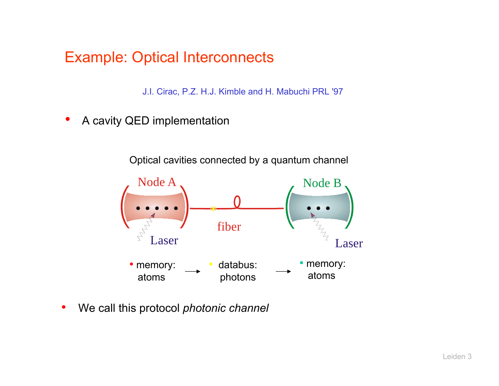#### Example: Optical Interconnects

J.I. Cirac, P.Z. H.J. Kimble and H. Mabuchi PRL '97

•A cavity QED implementation

Optical cavities connected by <sup>a</sup> quantum channel



•We call this protocol *photonic channel*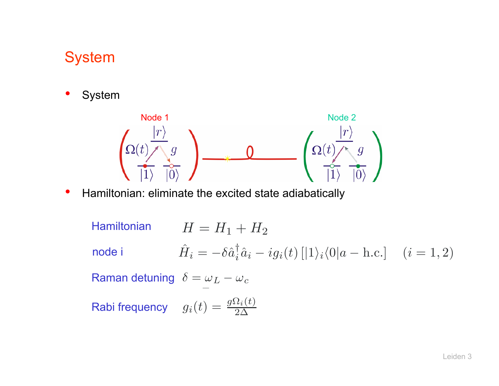## **System**

•System



- • Hamiltonian: eliminate the excited state adiabatically
	- Raman detuning  $\,\,\delta = \omega_L \omega_c$ Rabi frequency  $g_i(t) = \frac{g\Omega_i(t)}{2\Delta}$  $H=H_1+H_2$ H ˆ $\hat{H}_{\pmb{i}} = -\delta \hat{a}^{\dagger}_{\pmb{i}} \hat{a}_{\pmb{i}} - i g_{\pmb{i}}(t) \left[|1\rangle_{\pmb{i}} \langle 0|a-\text{h.c.}\right] \quad (i=1,2)$ Hamiltonian node i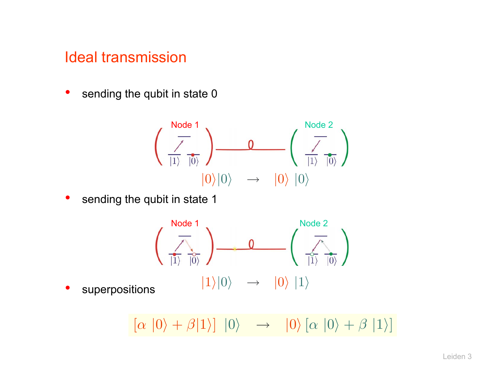#### Ideal transmission

•sending the qubit in state 0

$$
\left(\begin{array}{c}\n\overline{\smash{\big)}\text{Node 1}} \\
\hline\n\overline{\smash{\big)}\text{[1]}}\n\end{array}\right) \longrightarrow 0 \qquad \left(\begin{array}{c}\n\overline{\smash{\big)}\text{Node 2}} \\
\hline\n\overline{\smash{\big)}\text{[1]}}\n\end{array}\right)
$$
\n
$$
|0\rangle|0\rangle \longrightarrow |0\rangle|0\rangle
$$

 $\bullet$ sending the qubit in state 1



•

 $[\alpha |0\rangle + \beta |1\rangle] |0\rangle \rightarrow |0\rangle [\alpha |0\rangle + \beta |1\rangle]$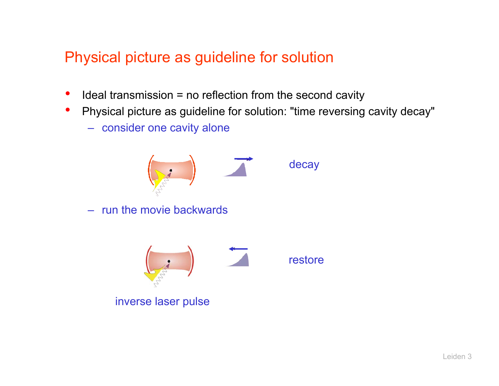#### Physical picture as guideline for solution

- •Ideal transmission = no reflection from the second cavity
- $\bullet$  Physical picture as guideline for solution: "time reversing cavity decay"
	- consider one cavity alone



– run the movie backwards



inverse laser pulse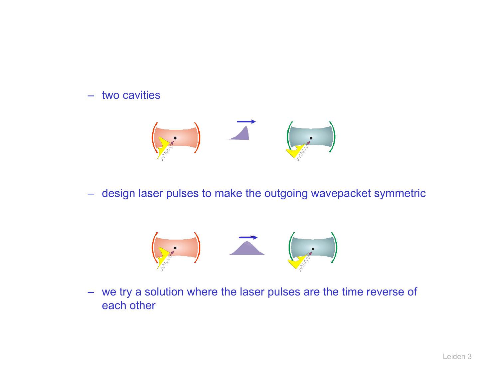#### –two cavities



–design laser pulses to make the outgoing wavepacket symmetric



– we try a solution where the laser pulses are the time reverse of each other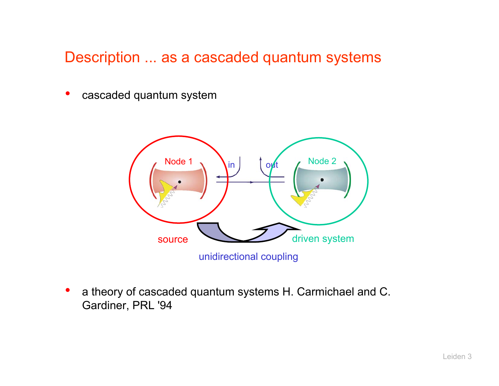#### Description ... as a cascaded quantum systems

•cascaded quantum system



• a theory of cascaded quantum systems H. Carmichael and C. Gardiner, PRL '94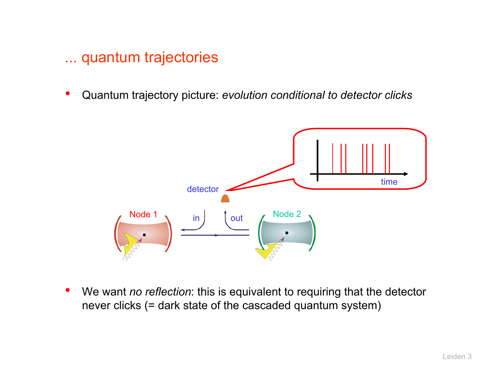#### ... quantum trajectories

•Quantum trajectory picture: *evolution conditional to detector clicks*



 $\bullet$  We want *no reflection*: this is equivalent to requiring that the detector never clicks (= dark state of the cascaded quantum system)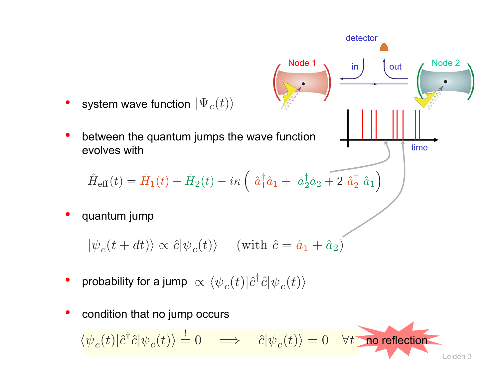

$$
\hat{H}_{\text{eff}}(t) = \hat{H}_1(t) + \hat{H}_2(t) - i\kappa \left( \hat{a}_1^{\dagger} \hat{a}_1 + \hat{a}_2^{\dagger} \hat{a}_2 + 2 \hat{a}_2^{\dagger} \hat{a}_1 \right)
$$

•quantum jump

 $|\psi_c(t + dt)\rangle \propto \hat{c}|\psi_c(t)\rangle$  (with  $\hat{c} = \hat{a}_1 + \hat{a}_2$ )

- •• probability for a jump  $\alpha \langle \psi_c(t)| \hat{c}^\dagger \hat{c} |\psi_c(t)\rangle$
- •condition that no jump occurs

Leiden 3 $\langle \psi_c(t)|\hat{c}^\dagger\hat{c}|\psi_c(t)\rangle = 0 \implies \hat{c}|\psi_c(t)\rangle = 0 \quad \forall t$  no reflection

Node 1

time

in  $\int$  out  $\int$  Node 2 out

detector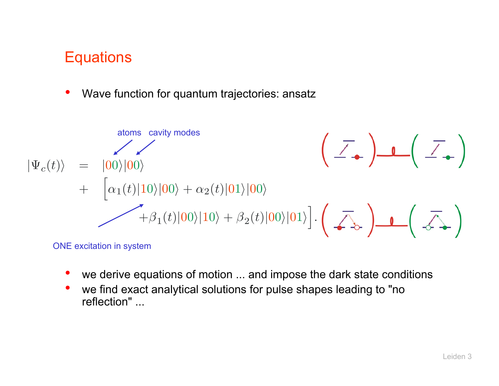#### **Equations**

•Wave function for quantum trajectories: ansatz



ONE excitation in system

- •we derive equations of motion ... and impose the dark state conditions
- • we find exact analytical solutions for pulse shapes leading to "no reflection" ...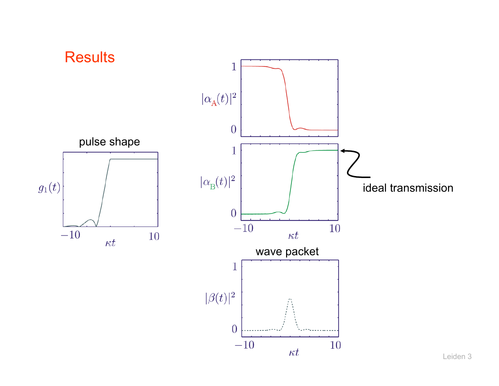